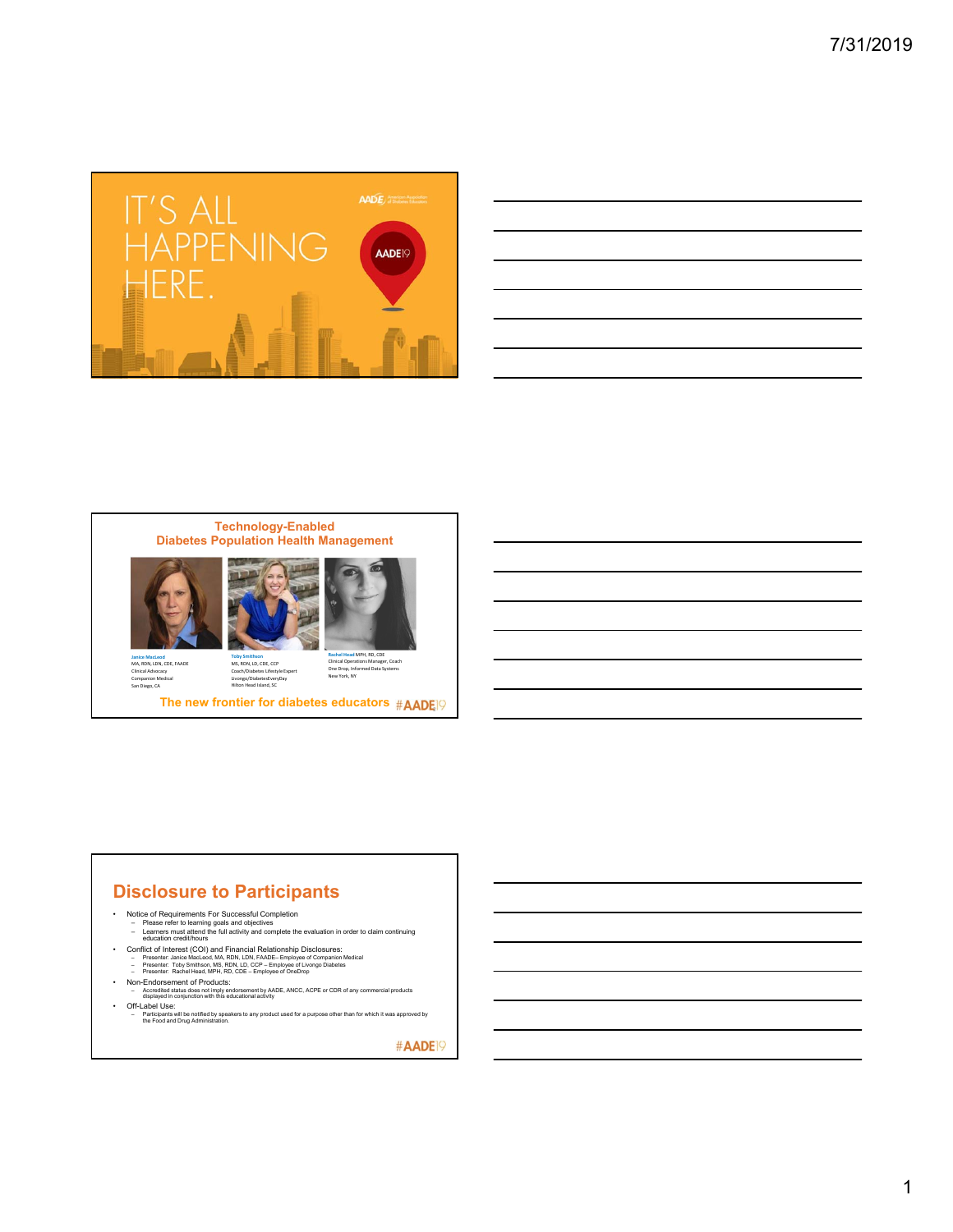

| <u>state and the state of the state of the state of the state of the state of the state of the state of the state of the state of the state of the state of the state of the state of the state of the state of the state of the</u> |  |  |
|--------------------------------------------------------------------------------------------------------------------------------------------------------------------------------------------------------------------------------------|--|--|
|                                                                                                                                                                                                                                      |  |  |
|                                                                                                                                                                                                                                      |  |  |
| <u> 1989 - Johann Stoff, deutscher Stoffen und der Stoffen und der Stoffen und der Stoffen und der Stoffen und de</u>                                                                                                                |  |  |
|                                                                                                                                                                                                                                      |  |  |
|                                                                                                                                                                                                                                      |  |  |
| <u> 1989 - Andrea Santa Andrea Andrea Andrea Andrea Andrea Andrea Andrea Andrea Andrea Andrea Andrea Andrea Andr</u>                                                                                                                 |  |  |
|                                                                                                                                                                                                                                      |  |  |









**Janice MacLeod<br>MA, RDN, LDN, CDE, FAADE<br>Clinical Advocacy<br>Companion Medical<br>San Diego, CA** 

Coach/Diabetes Lifestyle Expert Livongo/DiabetesEveryDay Hilton Head Island, SC

**The new frontier for diabetes educators #AADE** 

## **Disclosure to Participants**

- -
- Notice of Requirements For Successful Completion<br>– Please refer to learning goals and objectives<br>– Learners must attend the full activity and complete the evaluation in order to claim continuing<br>– education credit/hours
- Conflict of Interest (COI) and Financial Relationship Disclosures:<br>- Presenter Janice MacLeod, MA, RDN, LDN, FAADE-Employee of Companion Medical<br>- Presenter: Toby Smithson, MS, RDN, LD, CCP Employee of Lovongo Diabete
	-
- 
- Non-Endorsement of Products:
- Accredited status does not imply endorsement by AADE, ANCC, ACPE or CDR of any commercial products displayed in conjunction with this educational activity • Off-Label Use:
	- Participants will be notified by speakers to any product used for a purpose other than for which it was approved by the Food and Drug Administration.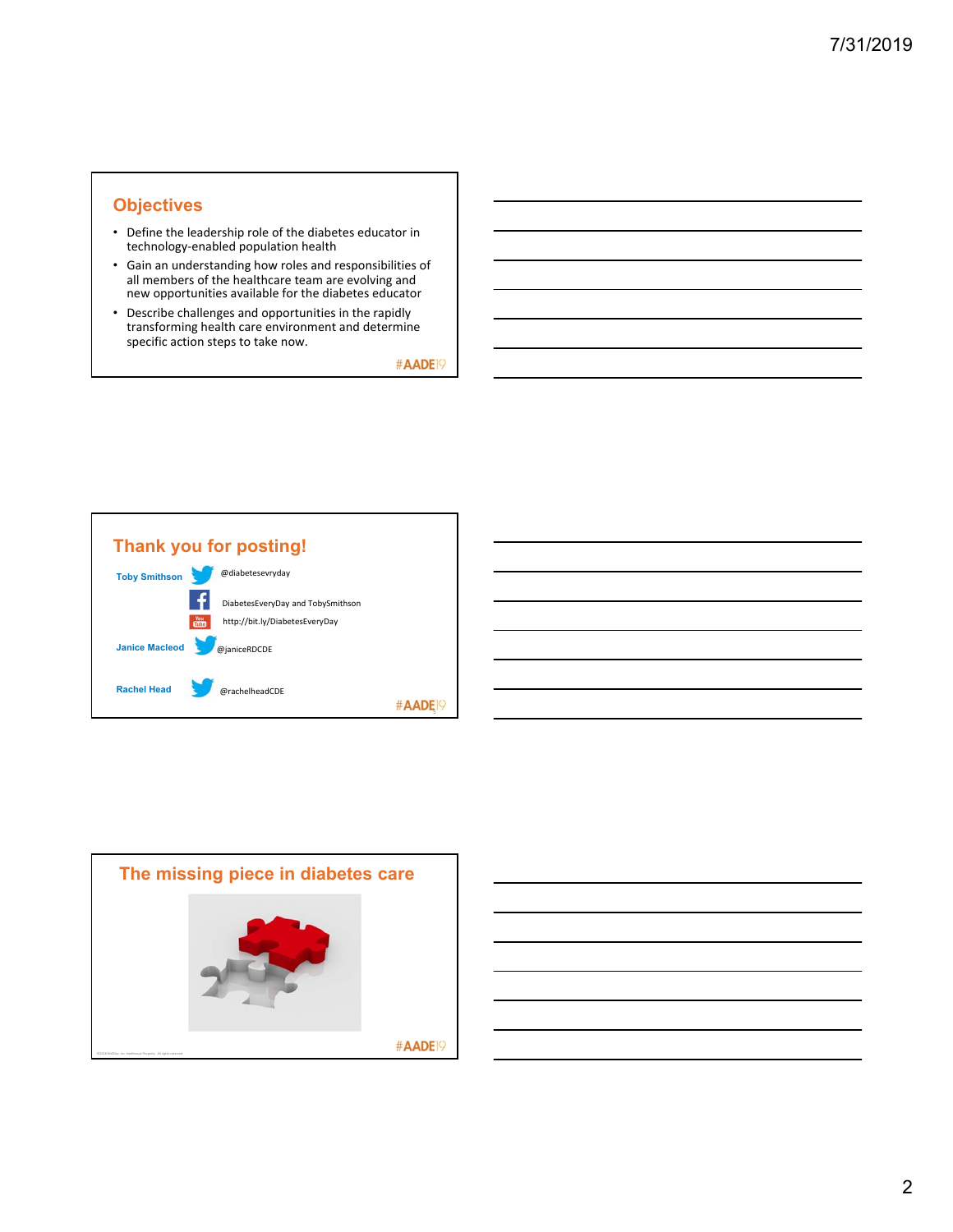## **Objectives**

- Define the leadership role of the diabetes educator in technology‐enabled population health
- Gain an understanding how roles and responsibilities of all members of the healthcare team are evolving and new opportunities available for the diabetes educator
- Describe challenges and opportunities in the rapidly transforming health care environment and determine specific action steps to take now.



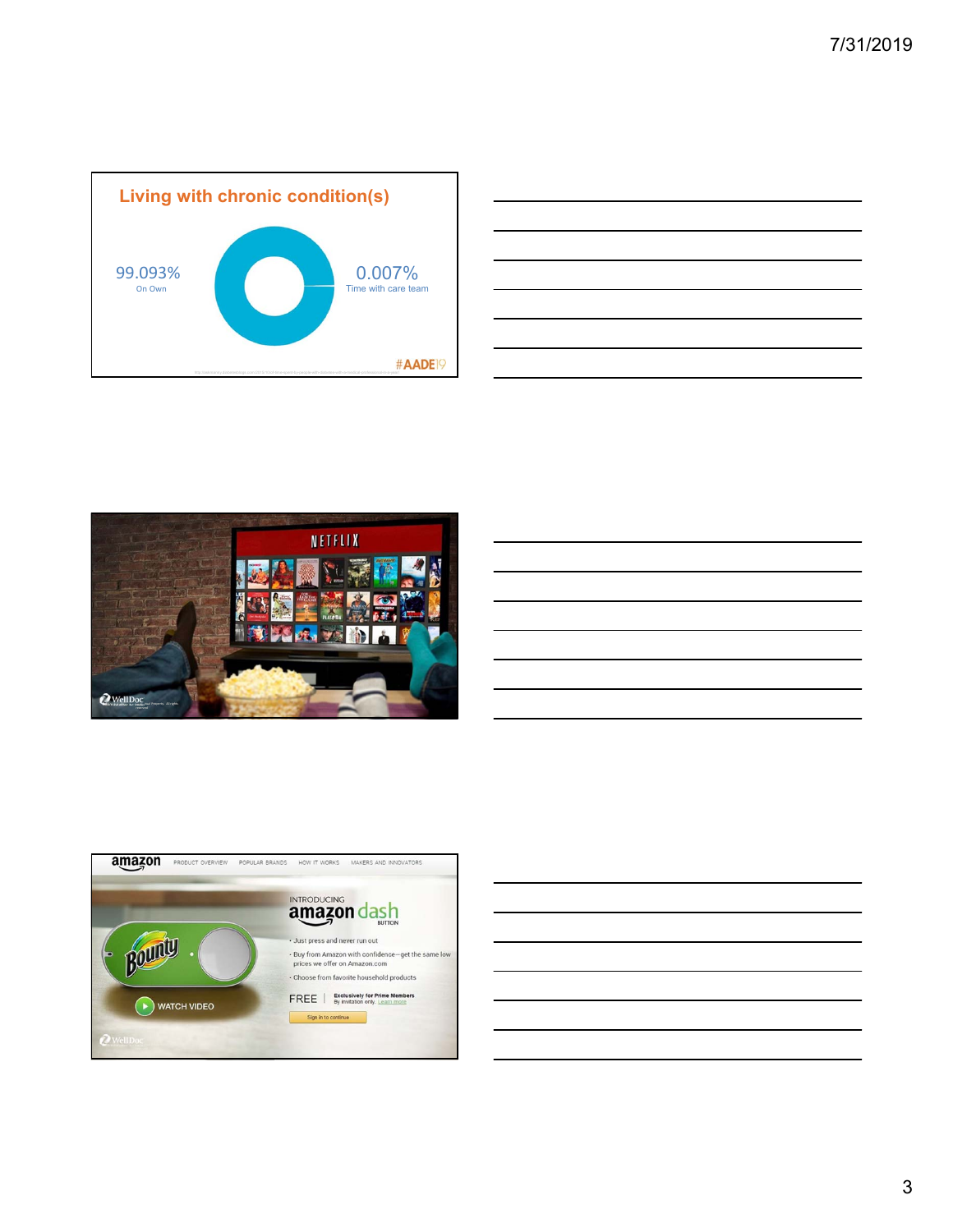









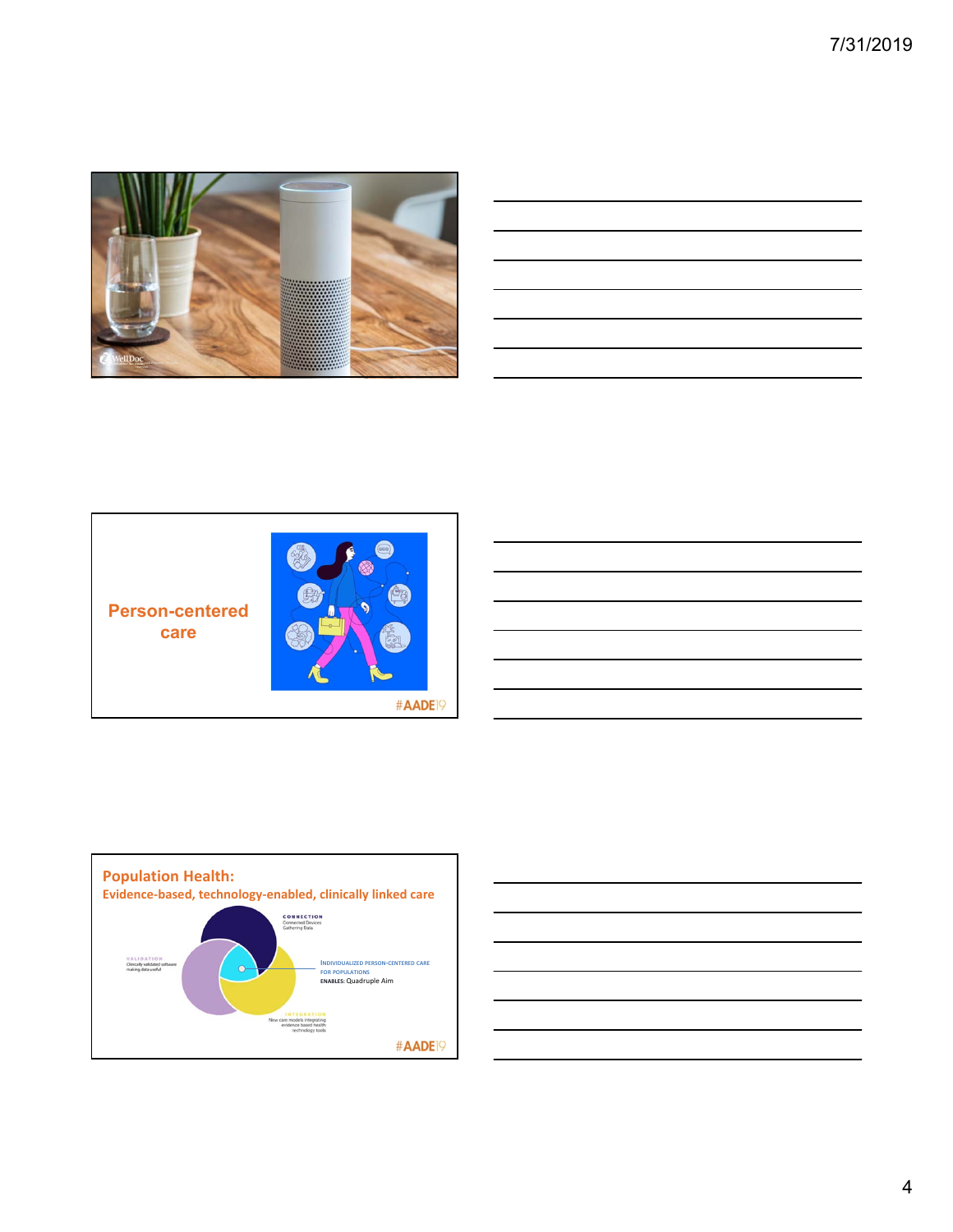

| __ |  |  |  |
|----|--|--|--|
|    |  |  |  |
|    |  |  |  |
|    |  |  |  |
|    |  |  |  |
|    |  |  |  |





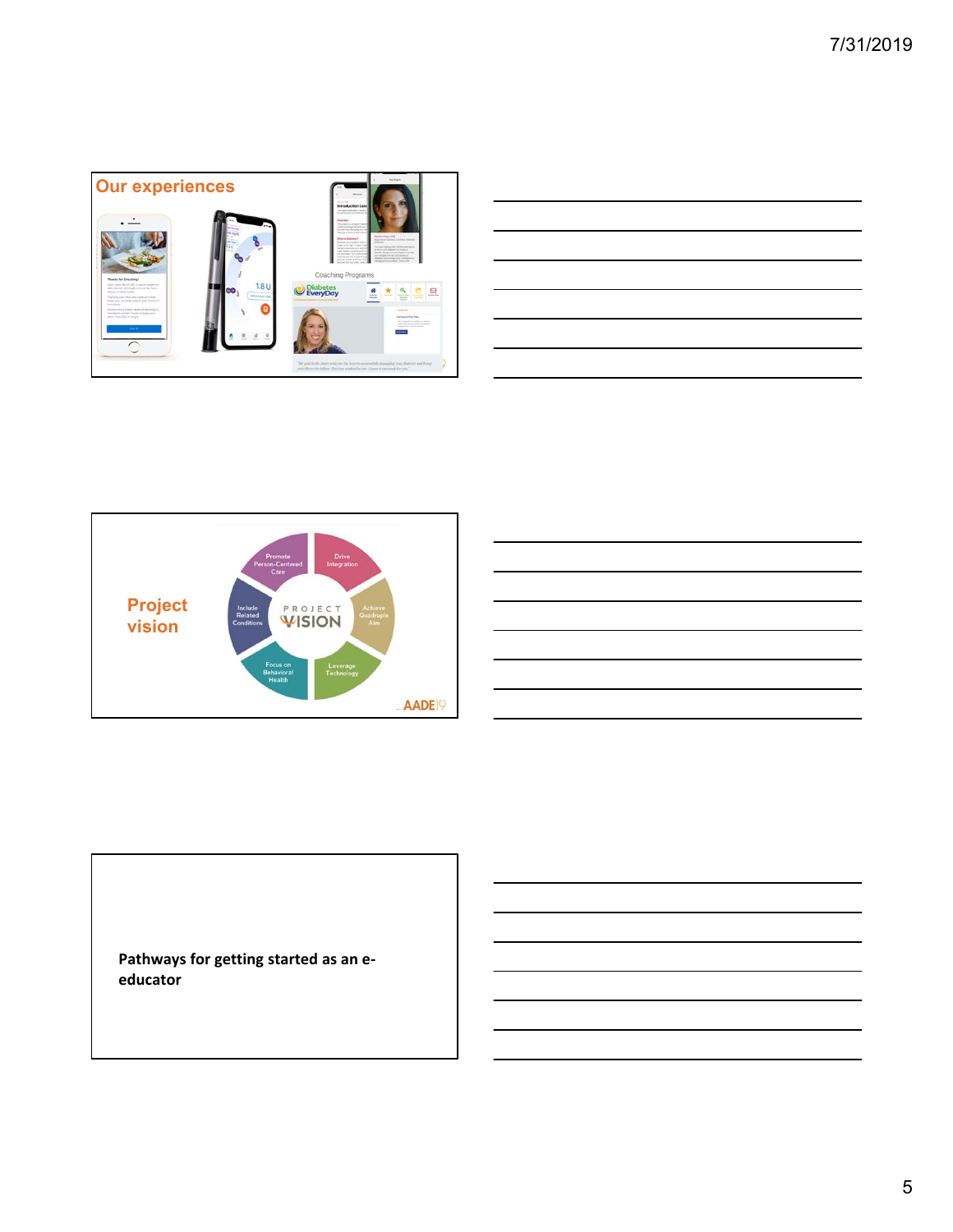

|  |  |  |                                                                                                                                                                      | and the control of the con- |
|--|--|--|----------------------------------------------------------------------------------------------------------------------------------------------------------------------|-----------------------------|
|  |  |  |                                                                                                                                                                      |                             |
|  |  |  |                                                                                                                                                                      |                             |
|  |  |  |                                                                                                                                                                      | ___                         |
|  |  |  |                                                                                                                                                                      |                             |
|  |  |  | ,我们也不会有一个人的事情。""我们的人们,我们也不会有一个人的人,我们也不会有一个人的人,我们也不会有一个人的人,我们也不会有一个人的人,我们也不会有一个人的<br>第一百一十一章 我们的人,我们的人们的人们,我们的人们的人们的人们,我们的人们的人们的人们,我们的人们的人们,我们的人们的人们,我们的人们的人们,我们的人们的人 |                             |
|  |  |  |                                                                                                                                                                      |                             |
|  |  |  |                                                                                                                                                                      |                             |



**Pathways for getting started as an e‐ educator**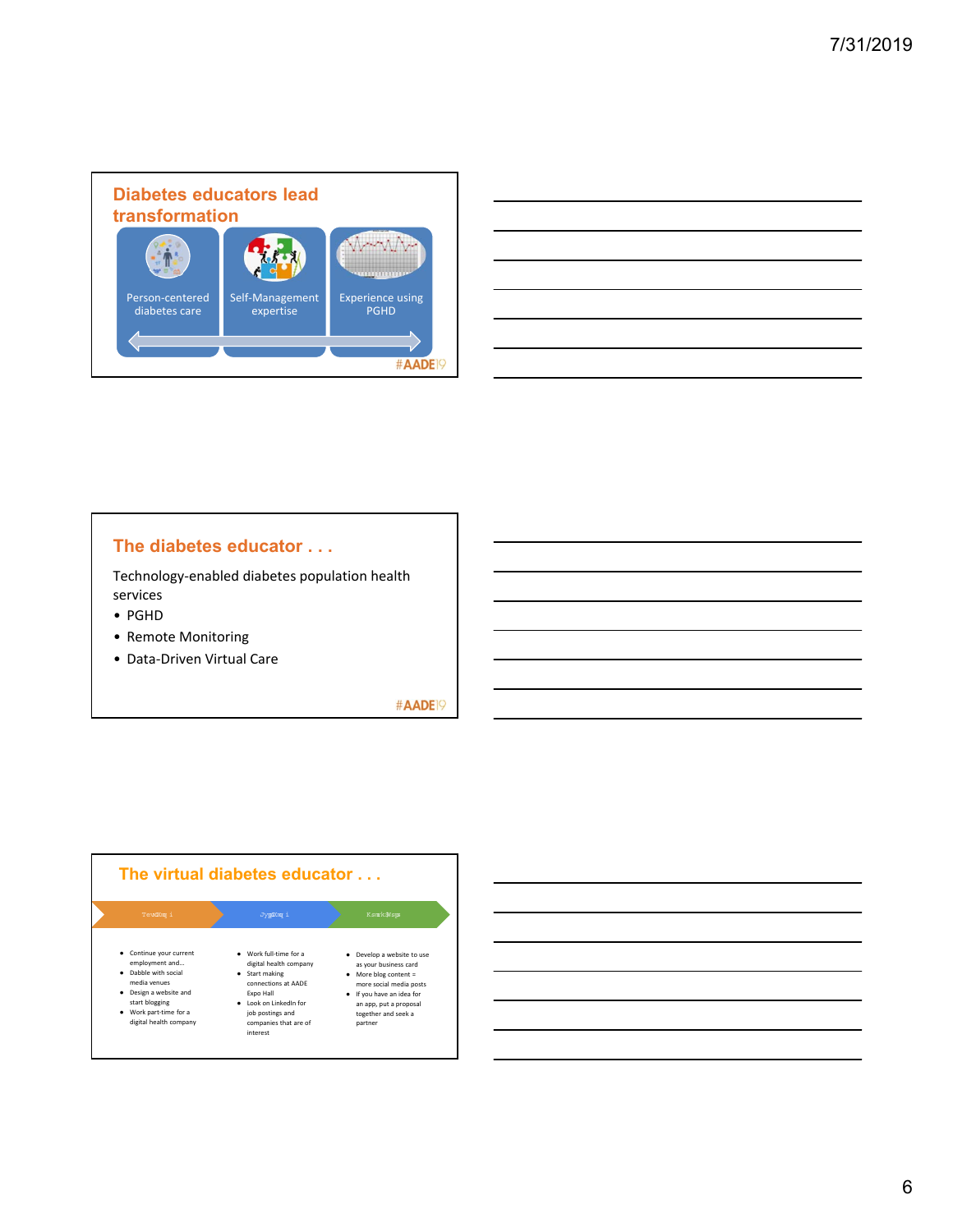

| <u> 1988 - Andrea Santa Andrea Andrea Andrea Andrea Andrea Andrea Andrea Andrea Andrea Andrea Andrea Andrea Andr</u> |  |  |
|----------------------------------------------------------------------------------------------------------------------|--|--|
|                                                                                                                      |  |  |
|                                                                                                                      |  |  |
|                                                                                                                      |  |  |
|                                                                                                                      |  |  |
|                                                                                                                      |  |  |
|                                                                                                                      |  |  |

## **The diabetes educator . . .**

Technology‐enabled diabetes population health services

- PGHD
- Remote Monitoring
- Data‐Driven Virtual Care

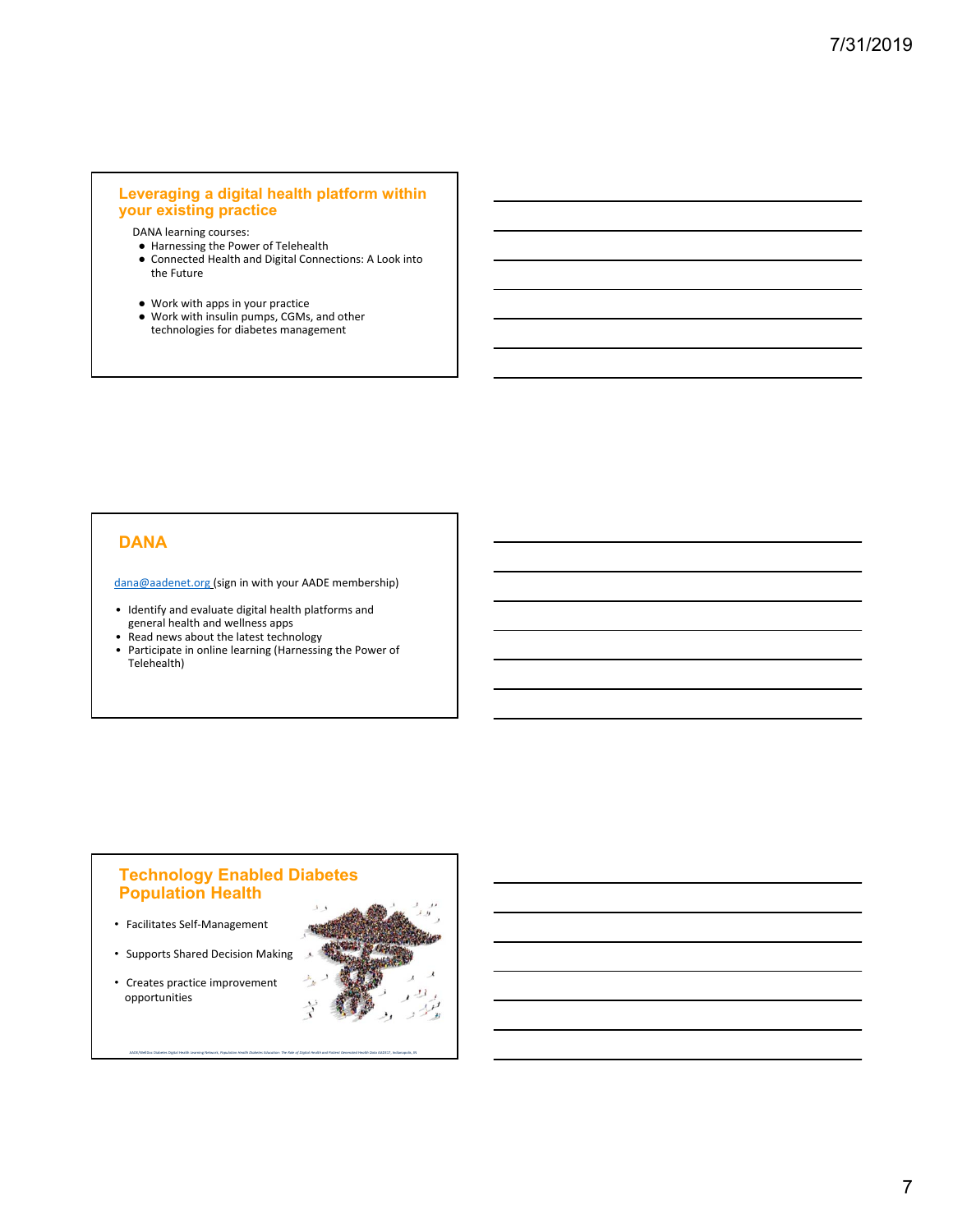## **Leveraging a digital health platform within your existing practice**

DANA learning courses:

- Harnessing the Power of Telehealth
- Connected Health and Digital Connections: A Look into the Future
- Work with apps in your practice
- Work with insulin pumps, CGMs, and other technologies for diabetes management

## **DANA**

dana@aadenet.org (sign in with your AADE membership)

- Identify and evaluate digital health platforms and general health and wellness apps
- Read news about the latest technology
- Participate in online learning (Harnessing the Power of Telehealth)

### **Technology Enabled Diabetes Population Health**

AADE/WellDoc Diabetes Digital Health Learning Network, *Population Health Diabetes Education: The Role of Digital Health and Patient Generated Health Data* AADE17, Indianapolis, IN

- Facilitates Self‐Management
- Supports Shared Decision Making
- Creates practice improvement opportunities

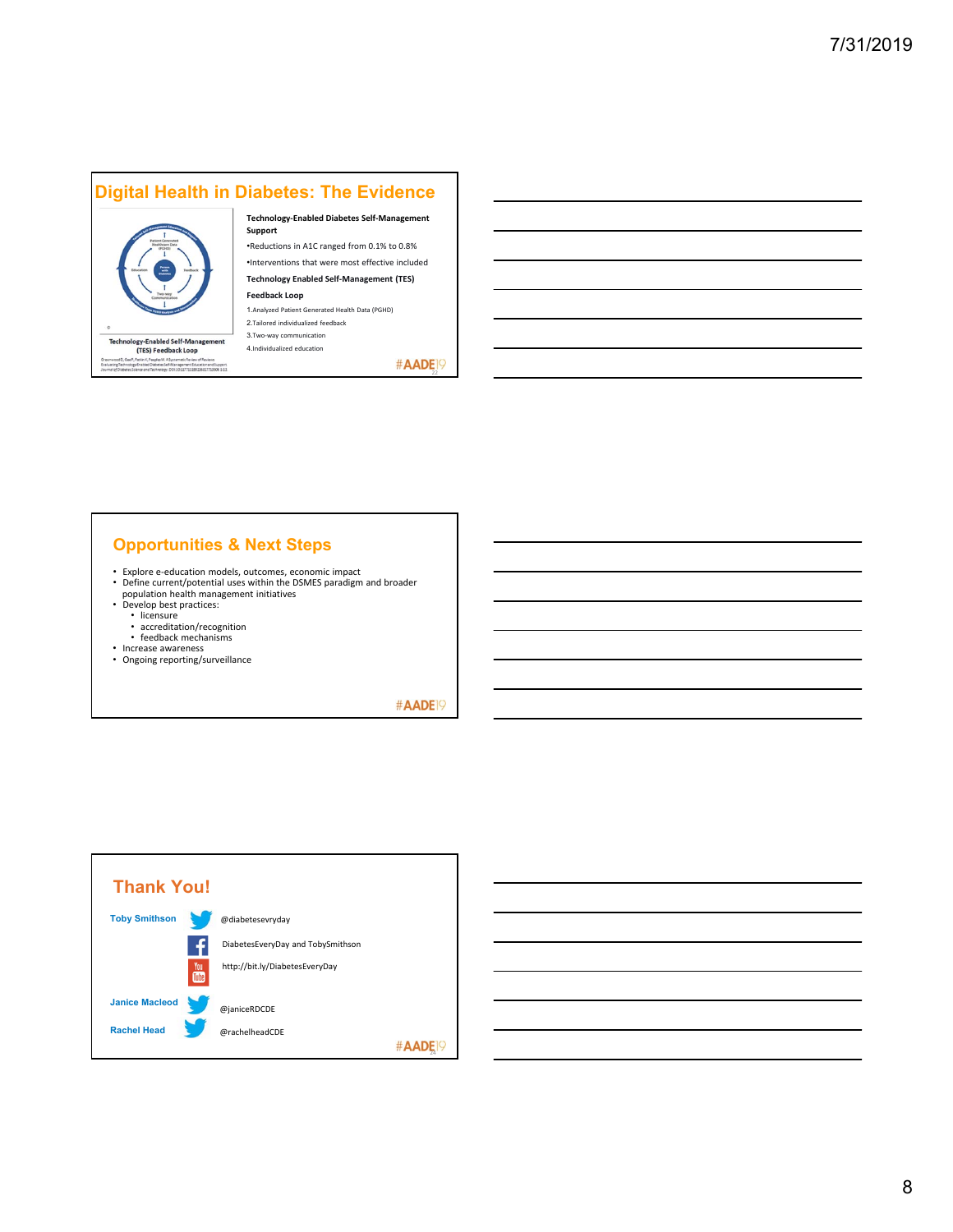# **Digital Health in Diabetes: The Evidence**



A. A Systematic Review<br>: Self-Management Ed

#### **Technology‐Enabled Diabetes Self‐Management Support**

•Reductions in A1C ranged from 0.1% to 0.8%

•Interventions that were most effective included **Technology Enabled Self‐Management (TES)** 

**Feedback Loop** 1.Analyzed Patient Generated Health Data (PGHD)

2.Tailored individualized feedback 3.Two‐way communication 4.Individualized education

#AADE<sup>19</sup>

## **Opportunities & Next Steps**

- Explore e‐education models, outcomes, economic impact Define current/potential uses within the DSMES paradigm and broader
- population health management initiatives Develop best practices:
- -
	- licensure accreditation/recognition • feedback mechanisms
- 
- Increase awareness Ongoing reporting/surveillance